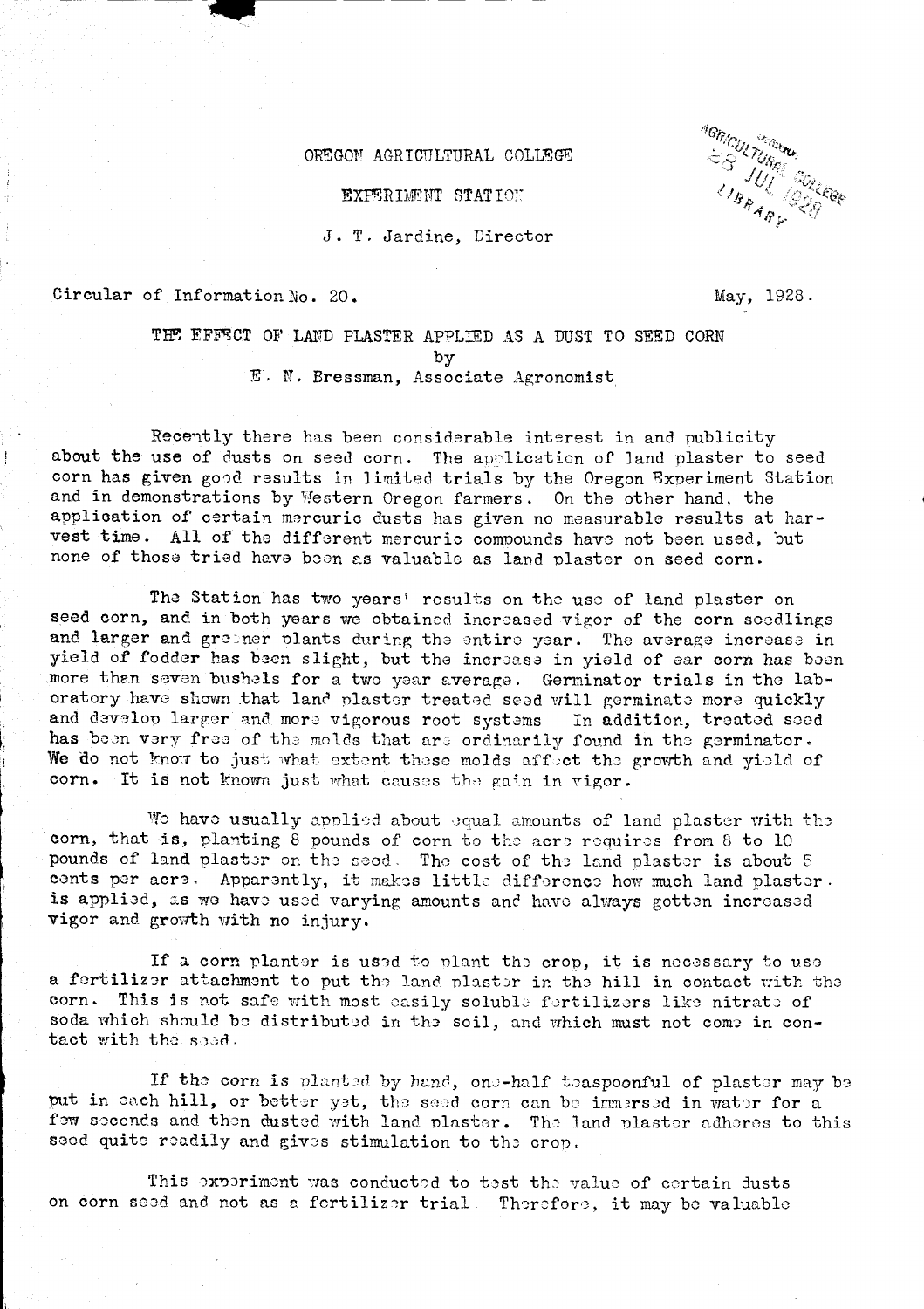## OREGON AGRICULTURAL COLLEGE

EXPERIMENT STATION

J. T. Jardine, Director

Circular of Information No. 20.

 $\frac{1}{2}$ 

**AGRICULTURE**<br>
= S TURE COLLEGE<br>
1 BRAB : 28 **SULTARY** 

May, 1928.

THE EFFECT OF LAND PLASTER APPLIED AS A DUST TO SEED CORN by E. N. Breesman, Associate Agronomist

Recently there has been considerable interest in and publicity about the use of dusts on seed corn. The application of land plaster to seed corn has given good results in limited trials by the Oregon Experiment Station and in demonstrations by Western Oregon farmers. On the other hand, the application of certain mercuric dusts has given no measurable results at har-vest time. All of the different mercuric compounds have not been used, but none of those tried have been as valuable as land plaster on seed corn.

The Station has two years' results on the use of land plaster on seed corn, and in both years we obtained increased vigor of the corn seedlings and larger and greener plants during the entire year. The average increase in yield of fodder has been slight, but the increase in yield of ear corn has been more than seven bushels for a two year average. Germinator trials in the laboratory have shown that land plaster treated seed will germinate more quickly and develop larger and more vigorous root systems In addition, treated soed has been very free of the molds that are ordinarily found in the germinator. We do not know to just what extent these molds affect the growth and yield of corn. It is not known just what causes the gain in vigor.

We have usually applied about equal amounts of land plaster with the corn, that is, planting 8 pounds of corn to the acre requires from 8 to 10 pounds of land plaster on the seed. The cost of the land plaster is about 5 cents per acre. Apparently, it makes little difference how much land plaster. is applied, as we have used varying amounts and have always gotten increased vigor and growth with no injury.

If a corn planter is used to plant the crop, it is necessary to use a fertilizer attachment to put the land plaster in the hill in contact with the corn. This is not safe with most easily soluble fertilizers like nitrate of soda which should be distributed in the soil, and which must not come in contact with the seed.

If the corn is planted by hand, one-half teaspoonful of plaster may be put in each hill, or better yet, the seed corn can be immersed in water for a fow seconds and then dusted with land plaster. The land plaster adheres to this seed quite readily and gives stimulation to the crop.

This experiment was conducted to test the value of certain dusts on corn seed and not as a fertilizer trial. Therefore, it may be valuable